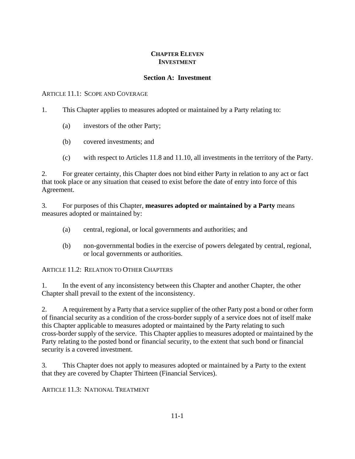### **CHAPTER ELEVEN INVESTMENT**

### **Section A: Investment**

### ARTICLE 11.1: SCOPE AND COVERAGE

1. This Chapter applies to measures adopted or maintained by a Party relating to:

- (a) investors of the other Party;
- (b) covered investments; and
- (c) with respect to Articles 11.8 and 11.10, all investments in the territory of the Party.

2. For greater certainty, this Chapter does not bind either Party in relation to any act or fact that took place or any situation that ceased to exist before the date of entry into force of this Agreement.

3. For purposes of this Chapter, **measures adopted or maintained by a Party** means measures adopted or maintained by:

- (a) central, regional, or local governments and authorities; and
- (b) non-governmental bodies in the exercise of powers delegated by central, regional, or local governments or authorities.

ARTICLE 11.2: RELATION TO OTHER CHAPTERS

1. In the event of any inconsistency between this Chapter and another Chapter, the other Chapter shall prevail to the extent of the inconsistency.

2. A requirement by a Party that a service supplier of the other Party post a bond or other form of financial security as a condition of the cross-border supply of a service does not of itself make this Chapter applicable to measures adopted or maintained by the Party relating to such cross-border supply of the service. This Chapter applies to measures adopted or maintained by the Party relating to the posted bond or financial security, to the extent that such bond or financial security is a covered investment.

3. This Chapter does not apply to measures adopted or maintained by a Party to the extent that they are covered by Chapter Thirteen (Financial Services).

ARTICLE 11.3: NATIONAL TREATMENT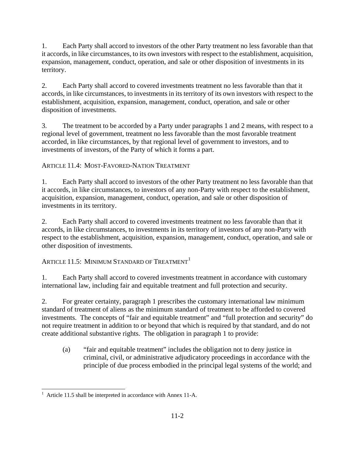1. Each Party shall accord to investors of the other Party treatment no less favorable than that it accords, in like circumstances, to its own investors with respect to the establishment, acquisition, expansion, management, conduct, operation, and sale or other disposition of investments in its territory.

2. Each Party shall accord to covered investments treatment no less favorable than that it accords, in like circumstances, to investments in its territory of its own investors with respect to the establishment, acquisition, expansion, management, conduct, operation, and sale or other disposition of investments.

3. The treatment to be accorded by a Party under paragraphs 1 and 2 means, with respect to a regional level of government, treatment no less favorable than the most favorable treatment accorded, in like circumstances, by that regional level of government to investors, and to investments of investors, of the Party of which it forms a part.

ARTICLE 11.4: MOST-FAVORED-NATION TREATMENT

1. Each Party shall accord to investors of the other Party treatment no less favorable than that it accords, in like circumstances, to investors of any non-Party with respect to the establishment, acquisition, expansion, management, conduct, operation, and sale or other disposition of investments in its territory.

2. Each Party shall accord to covered investments treatment no less favorable than that it accords, in like circumstances, to investments in its territory of investors of any non-Party with respect to the establishment, acquisition, expansion, management, conduct, operation, and sale or other disposition of investments.

# ARTICLE [1](#page-1-0)1.5: MINIMUM STANDARD OF TREATMENT<sup>1</sup>

1. Each Party shall accord to covered investments treatment in accordance with customary international law, including fair and equitable treatment and full protection and security.

2. For greater certainty, paragraph 1 prescribes the customary international law minimum standard of treatment of aliens as the minimum standard of treatment to be afforded to covered investments. The concepts of "fair and equitable treatment" and "full protection and security" do not require treatment in addition to or beyond that which is required by that standard, and do not create additional substantive rights. The obligation in paragraph 1 to provide:

 (a) "fair and equitable treatment" includes the obligation not to deny justice in criminal, civil, or administrative adjudicatory proceedings in accordance with the principle of due process embodied in the principal legal systems of the world; and

<span id="page-1-0"></span> $\overline{a}$ <sup>1</sup> Article 11.5 shall be interpreted in accordance with Annex 11-A.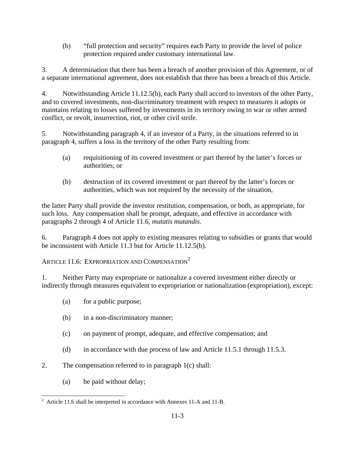(b) "full protection and security" requires each Party to provide the level of police protection required under customary international law.

3. A determination that there has been a breach of another provision of this Agreement, or of a separate international agreement, does not establish that there has been a breach of this Article.

4. Notwithstanding Article 11.12.5(b), each Party shall accord to investors of the other Party, and to covered investments, non-discriminatory treatment with respect to measures it adopts or maintains relating to losses suffered by investments in its territory owing to war or other armed conflict, or revolt, insurrection, riot, or other civil strife.

5. Notwithstanding paragraph 4, if an investor of a Party, in the situations referred to in paragraph 4, suffers a loss in the territory of the other Party resulting from:

- (a) requisitioning of its covered investment or part thereof by the latter's forces or authorities; or
- (b) destruction of its covered investment or part thereof by the latter's forces or authorities, which was not required by the necessity of the situation,

the latter Party shall provide the investor restitution, compensation, or both, as appropriate, for such loss. Any compensation shall be prompt, adequate, and effective in accordance with paragraphs 2 through 4 of Article 11.6, *mutatis mutandis*.

6. Paragraph 4 does not apply to existing measures relating to subsidies or grants that would be inconsistent with Article 11.3 but for Article 11.12.5(b).

ARTICLE 11.6: EXPROPRIATION AND COMPENSATION<sup>[2](#page-2-0)</sup>

1. Neither Party may expropriate or nationalize a covered investment either directly or indirectly through measures equivalent to expropriation or nationalization (expropriation), except:

- (a) for a public purpose;
- (b) in a non-discriminatory manner;
- (c) on payment of prompt, adequate, and effective compensation; and
- (d) in accordance with due process of law and Article 11.5.1 through 11.5.3.
- 2. The compensation referred to in paragraph 1(c) shall:
	- (a) be paid without delay;

<span id="page-2-0"></span> $\overline{a}$ <sup>2</sup> Article 11.6 shall be interpreted in accordance with Annexes 11-A and 11-B.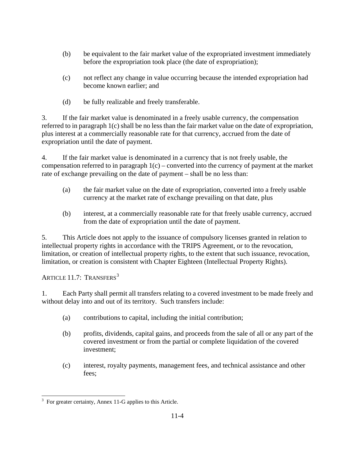- (b) be equivalent to the fair market value of the expropriated investment immediately before the expropriation took place (the date of expropriation);
- (c) not reflect any change in value occurring because the intended expropriation had become known earlier; and
- (d) be fully realizable and freely transferable.

3. If the fair market value is denominated in a freely usable currency, the compensation referred to in paragraph 1(c) shall be no less than the fair market value on the date of expropriation, plus interest at a commercially reasonable rate for that currency, accrued from the date of expropriation until the date of payment.

4. If the fair market value is denominated in a currency that is not freely usable, the compensation referred to in paragraph 1(c) – converted into the currency of payment at the market rate of exchange prevailing on the date of payment – shall be no less than:

- (a) the fair market value on the date of expropriation, converted into a freely usable currency at the market rate of exchange prevailing on that date, plus
- (b) interest, at a commercially reasonable rate for that freely usable currency, accrued from the date of expropriation until the date of payment.

5. This Article does not apply to the issuance of compulsory licenses granted in relation to intellectual property rights in accordance with the TRIPS Agreement, or to the revocation, limitation, or creation of intellectual property rights, to the extent that such issuance, revocation, limitation, or creation is consistent with Chapter Eighteen (Intellectual Property Rights).

ARTICLE 11.7: TRANSFERS<sup>[3](#page-3-0)</sup>

1. Each Party shall permit all transfers relating to a covered investment to be made freely and without delay into and out of its territory. Such transfers include:

- (a) contributions to capital, including the initial contribution;
- (b) profits, dividends, capital gains, and proceeds from the sale of all or any part of the covered investment or from the partial or complete liquidation of the covered investment;
- (c) interest, royalty payments, management fees, and technical assistance and other fees;

<span id="page-3-0"></span> $\overline{a}$  $3$  For greater certainty, Annex 11-G applies to this Article.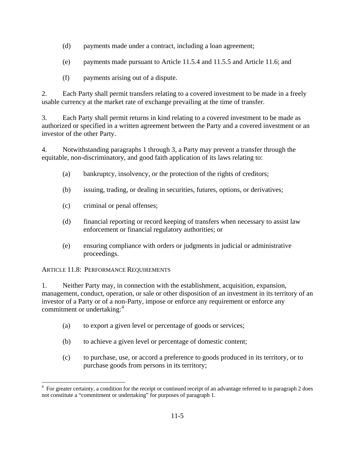- (d) payments made under a contract, including a loan agreement;
- (e) payments made pursuant to Article 11.5.4 and 11.5.5 and Article 11.6; and
- (f) payments arising out of a dispute.

2. Each Party shall permit transfers relating to a covered investment to be made in a freely usable currency at the market rate of exchange prevailing at the time of transfer.

3. Each Party shall permit returns in kind relating to a covered investment to be made as authorized or specified in a written agreement between the Party and a covered investment or an investor of the other Party.

4. Notwithstanding paragraphs 1 through 3, a Party may prevent a transfer through the equitable, non-discriminatory, and good faith application of its laws relating to:

- (a) bankruptcy, insolvency, or the protection of the rights of creditors;
- (b) issuing, trading, or dealing in securities, futures, options, or derivatives;
- (c) criminal or penal offenses;
- (d) financial reporting or record keeping of transfers when necessary to assist law enforcement or financial regulatory authorities; or
- (e) ensuring compliance with orders or judgments in judicial or administrative proceedings.

ARTICLE 11.8: PERFORMANCE REQUIREMENTS

1. Neither Party may, in connection with the establishment, acquisition, expansion, management, conduct, operation, or sale or other disposition of an investment in its territory of an investor of a Party or of a non-Party, impose or enforce any requirement or enforce any commitment or undertaking:<sup>[4](#page-4-0)</sup>

- (a) to export a given level or percentage of goods or services;
- (b) to achieve a given level or percentage of domestic content;
- (c) to purchase, use, or accord a preference to goods produced in its territory, or to purchase goods from persons in its territory;

<span id="page-4-0"></span> $\overline{a}$ <sup>4</sup> For greater certainty, a condition for the receipt or continued receipt of an advantage referred to in paragraph 2 does not constitute a "commitment or undertaking" for purposes of paragraph 1.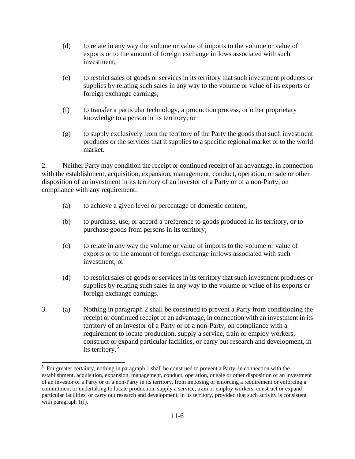- (d) to relate in any way the volume or value of imports to the volume or value of exports or to the amount of foreign exchange inflows associated with such investment;
- (e) to restrict sales of goods or services in its territory that such investment produces or supplies by relating such sales in any way to the volume or value of its exports or foreign exchange earnings;
- (f) to transfer a particular technology, a production process, or other proprietary knowledge to a person in its territory; or
- (g) to supply exclusively from the territory of the Party the goods that such investment produces or the services that it supplies to a specific regional market or to the world market.

2. Neither Party may condition the receipt or continued receipt of an advantage, in connection with the establishment, acquisition, expansion, management, conduct, operation, or sale or other disposition of an investment in its territory of an investor of a Party or of a non-Party, on compliance with any requirement:

- (a) to achieve a given level or percentage of domestic content;
- (b) to purchase, use, or accord a preference to goods produced in its territory, or to purchase goods from persons in its territory;
- (c) to relate in any way the volume or value of imports to the volume or value of exports or to the amount of foreign exchange inflows associated with such investment; or
- (d) to restrict sales of goods or services in its territory that such investment produces or supplies by relating such sales in any way to the volume or value of its exports or foreign exchange earnings.
- 3. (a) Nothing in paragraph 2 shall be construed to prevent a Party from conditioning the receipt or continued receipt of an advantage, in connection with an investment in its territory of an investor of a Party or of a non-Party, on compliance with a requirement to locate production, supply a service, train or employ workers, construct or expand particular facilities, or carry out research and development, in its territory.<sup>[5](#page-5-0)</sup>

 $\overline{a}$ 

<span id="page-5-0"></span> $<sup>5</sup>$  For greater certainty, nothing in paragraph 1 shall be construed to prevent a Party, in connection with the</sup> establishment, acquisition, expansion, management, conduct, operation, or sale or other disposition of an investment of an investor of a Party or of a non-Party in its territory, from imposing or enforcing a requirement or enforcing a commitment or undertaking to locate production, supply a service, train or employ workers, construct or expand particular facilities, or carry out research and development, in its territory, provided that such activity is consistent with paragraph 1(f).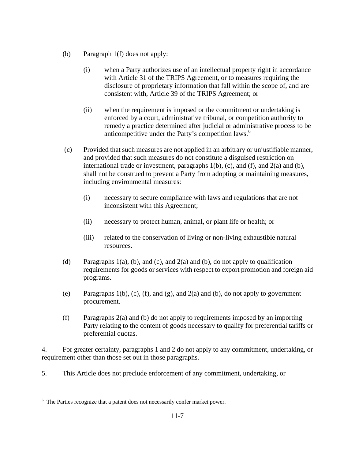- (b) Paragraph 1(f) does not apply:
	- (i) when a Party authorizes use of an intellectual property right in accordance with Article 31 of the TRIPS Agreement, or to measures requiring the disclosure of proprietary information that fall within the scope of, and are consistent with, Article 39 of the TRIPS Agreement; or
	- (ii) when the requirement is imposed or the commitment or undertaking is enforced by a court, administrative tribunal, or competition authority to remedy a practice determined after judicial or administrative process to be anticompetitive under the Party's competition laws.<sup>[6](#page-6-0)</sup>
- (c) Provided that such measures are not applied in an arbitrary or unjustifiable manner, and provided that such measures do not constitute a disguised restriction on international trade or investment, paragraphs  $1(b)$ , (c), and  $(f)$ , and  $2(a)$  and  $(b)$ , shall not be construed to prevent a Party from adopting or maintaining measures, including environmental measures:
	- (i) necessary to secure compliance with laws and regulations that are not inconsistent with this Agreement;
	- (ii) necessary to protect human, animal, or plant life or health; or
	- (iii) related to the conservation of living or non-living exhaustible natural resources.
- (d) Paragraphs  $1(a)$ , (b), and (c), and  $2(a)$  and (b), do not apply to qualification requirements for goods or services with respect to export promotion and foreign aid programs.
- (e) Paragraphs  $1(b)$ , (c), (f), and (g), and  $2(a)$  and (b), do not apply to government procurement.
- (f) Paragraphs 2(a) and (b) do not apply to requirements imposed by an importing Party relating to the content of goods necessary to qualify for preferential tariffs or preferential quotas.

4. For greater certainty, paragraphs 1 and 2 do not apply to any commitment, undertaking, or requirement other than those set out in those paragraphs.

5. This Article does not preclude enforcement of any commitment, undertaking, or

 $\overline{a}$ 

<span id="page-6-0"></span><sup>&</sup>lt;sup>6</sup> The Parties recognize that a patent does not necessarily confer market power.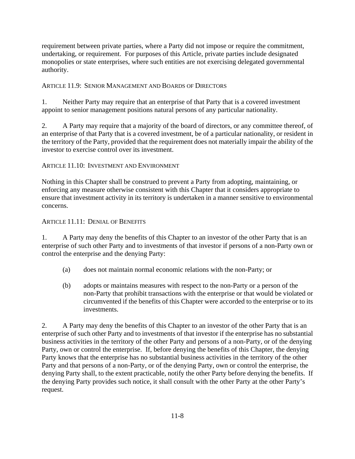requirement between private parties, where a Party did not impose or require the commitment, undertaking, or requirement. For purposes of this Article, private parties include designated monopolies or state enterprises, where such entities are not exercising delegated governmental authority.

### ARTICLE 11.9: SENIOR MANAGEMENT AND BOARDS OF DIRECTORS

1. Neither Party may require that an enterprise of that Party that is a covered investment appoint to senior management positions natural persons of any particular nationality.

2. A Party may require that a majority of the board of directors, or any committee thereof, of an enterprise of that Party that is a covered investment, be of a particular nationality, or resident in the territory of the Party, provided that the requirement does not materially impair the ability of the investor to exercise control over its investment.

### ARTICLE 11.10: INVESTMENT AND ENVIRONMENT

Nothing in this Chapter shall be construed to prevent a Party from adopting, maintaining, or enforcing any measure otherwise consistent with this Chapter that it considers appropriate to ensure that investment activity in its territory is undertaken in a manner sensitive to environmental concerns.

### ARTICLE 11.11: DENIAL OF BENEFITS

1. A Party may deny the benefits of this Chapter to an investor of the other Party that is an enterprise of such other Party and to investments of that investor if persons of a non-Party own or control the enterprise and the denying Party:

- (a) does not maintain normal economic relations with the non-Party; or
- (b) adopts or maintains measures with respect to the non-Party or a person of the non-Party that prohibit transactions with the enterprise or that would be violated or circumvented if the benefits of this Chapter were accorded to the enterprise or to its investments.

2. A Party may deny the benefits of this Chapter to an investor of the other Party that is an enterprise of such other Party and to investments of that investor if the enterprise has no substantial business activities in the territory of the other Party and persons of a non-Party, or of the denying Party, own or control the enterprise. If, before denying the benefits of this Chapter, the denying Party knows that the enterprise has no substantial business activities in the territory of the other Party and that persons of a non-Party, or of the denying Party, own or control the enterprise, the denying Party shall, to the extent practicable, notify the other Party before denying the benefits. If the denying Party provides such notice, it shall consult with the other Party at the other Party's request.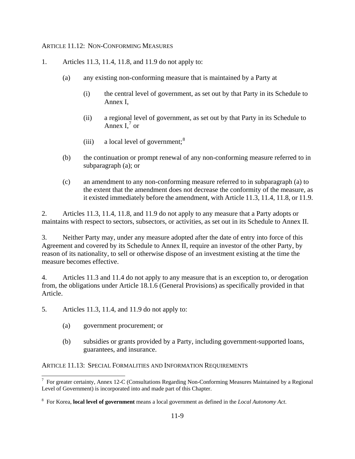#### ARTICLE 11.12: NON-CONFORMING MEASURES

- 1. Articles 11.3, 11.4, 11.8, and 11.9 do not apply to:
	- (a) any existing non-conforming measure that is maintained by a Party at
		- (i) the central level of government, as set out by that Party in its Schedule to Annex I,
		- (ii) a regional level of government, as set out by that Party in its Schedule to Annex  $I^{\dagger}$  or
		- (iii) a local level of government;  $8<sup>8</sup>$  $8<sup>8</sup>$
	- (b) the continuation or prompt renewal of any non-conforming measure referred to in subparagraph (a); or
	- (c) an amendment to any non-conforming measure referred to in subparagraph (a) to the extent that the amendment does not decrease the conformity of the measure, as it existed immediately before the amendment, with Article 11.3, 11.4, 11.8, or 11.9.

2. Articles 11.3, 11.4, 11.8, and 11.9 do not apply to any measure that a Party adopts or maintains with respect to sectors, subsectors, or activities, as set out in its Schedule to Annex II.

3. Neither Party may, under any measure adopted after the date of entry into force of this Agreement and covered by its Schedule to Annex II, require an investor of the other Party, by reason of its nationality, to sell or otherwise dispose of an investment existing at the time the measure becomes effective.

4. Articles 11.3 and 11.4 do not apply to any measure that is an exception to, or derogation from, the obligations under Article 18.1.6 (General Provisions) as specifically provided in that Article.

- 5. Articles 11.3, 11.4, and 11.9 do not apply to:
	- (a) government procurement; or

 $\overline{\phantom{a}}$ 

(b) subsidies or grants provided by a Party, including government-supported loans, guarantees, and insurance.

#### ARTICLE 11.13: SPECIAL FORMALITIES AND INFORMATION REQUIREMENTS

<span id="page-8-0"></span> $7$  For greater certainty, Annex 12-C (Consultations Regarding Non-Conforming Measures Maintained by a Regional Level of Government) is incorporated into and made part of this Chapter.

<span id="page-8-1"></span><sup>8</sup> For Korea, **local level of government** means a local government as defined in the *Local Autonomy Act*.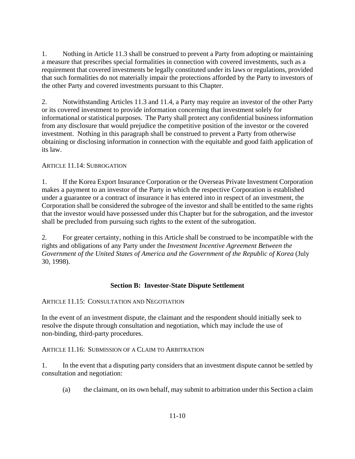1. Nothing in Article 11.3 shall be construed to prevent a Party from adopting or maintaining a measure that prescribes special formalities in connection with covered investments, such as a requirement that covered investments be legally constituted under its laws or regulations, provided that such formalities do not materially impair the protections afforded by the Party to investors of the other Party and covered investments pursuant to this Chapter.

2. Notwithstanding Articles 11.3 and 11.4, a Party may require an investor of the other Party or its covered investment to provide information concerning that investment solely for informational or statistical purposes. The Party shall protect any confidential business information from any disclosure that would prejudice the competitive position of the investor or the covered investment. Nothing in this paragraph shall be construed to prevent a Party from otherwise obtaining or disclosing information in connection with the equitable and good faith application of its law.

# ARTICLE 11.14: SUBROGATION

1. If the Korea Export Insurance Corporation or the Overseas Private Investment Corporation makes a payment to an investor of the Party in which the respective Corporation is established under a guarantee or a contract of insurance it has entered into in respect of an investment, the Corporation shall be considered the subrogee of the investor and shall be entitled to the same rights that the investor would have possessed under this Chapter but for the subrogation, and the investor shall be precluded from pursuing such rights to the extent of the subrogation.

2. For greater certainty, nothing in this Article shall be construed to be incompatible with the rights and obligations of any Party under the *Investment Incentive Agreement Between the*  Government of the United States of America and the Government of the Republic of Korea (July 30, 1998).

# **Section B: Investor-State Dispute Settlement**

# ARTICLE 11.15: CONSULTATION AND NEGOTIATION

In the event of an investment dispute, the claimant and the respondent should initially seek to resolve the dispute through consultation and negotiation, which may include the use of non-binding, third-party procedures.

### ARTICLE 11.16: SUBMISSION OF A CLAIM TO ARBITRATION

1. In the event that a disputing party considers that an investment dispute cannot be settled by consultation and negotiation:

(a) the claimant, on its own behalf, may submit to arbitration under this Section a claim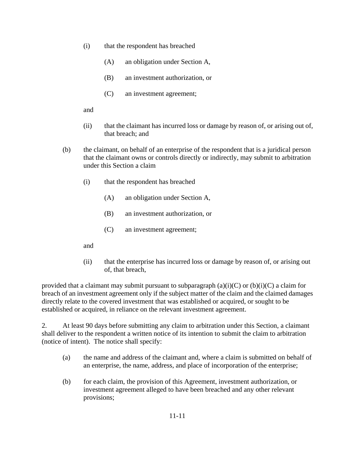- (i) that the respondent has breached
	- (A) an obligation under Section A,
	- (B) an investment authorization, or
	- (C) an investment agreement;

and

- (ii) that the claimant has incurred loss or damage by reason of, or arising out of, that breach; and
- (b) the claimant, on behalf of an enterprise of the respondent that is a juridical person that the claimant owns or controls directly or indirectly, may submit to arbitration under this Section a claim
	- (i) that the respondent has breached
		- (A) an obligation under Section A,
		- (B) an investment authorization, or
		- (C) an investment agreement;

and

(ii) that the enterprise has incurred loss or damage by reason of, or arising out of, that breach,

provided that a claimant may submit pursuant to subparagraph  $(a)(i)(C)$  or  $(b)(i)(C)$  a claim for breach of an investment agreement only if the subject matter of the claim and the claimed damages directly relate to the covered investment that was established or acquired, or sought to be established or acquired, in reliance on the relevant investment agreement.

2. At least 90 days before submitting any claim to arbitration under this Section, a claimant shall deliver to the respondent a written notice of its intention to submit the claim to arbitration (notice of intent). The notice shall specify:

- (a) the name and address of the claimant and, where a claim is submitted on behalf of an enterprise, the name, address, and place of incorporation of the enterprise;
- (b) for each claim, the provision of this Agreement, investment authorization, or investment agreement alleged to have been breached and any other relevant provisions;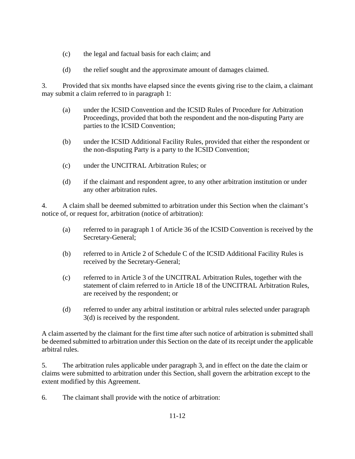- (c) the legal and factual basis for each claim; and
- (d) the relief sought and the approximate amount of damages claimed.

3. Provided that six months have elapsed since the events giving rise to the claim, a claimant may submit a claim referred to in paragraph 1:

- (a) under the ICSID Convention and the ICSID Rules of Procedure for Arbitration Proceedings, provided that both the respondent and the non-disputing Party are parties to the ICSID Convention;
- (b) under the ICSID Additional Facility Rules, provided that either the respondent or the non-disputing Party is a party to the ICSID Convention;
- (c) under the UNCITRAL Arbitration Rules; or
- (d) if the claimant and respondent agree, to any other arbitration institution or under any other arbitration rules.

4. A claim shall be deemed submitted to arbitration under this Section when the claimant's notice of, or request for, arbitration (notice of arbitration):

- (a) referred to in paragraph 1 of Article 36 of the ICSID Convention is received by the Secretary-General;
- (b) referred to in Article 2 of Schedule C of the ICSID Additional Facility Rules is received by the Secretary-General;
- (c) referred to in Article 3 of the UNCITRAL Arbitration Rules, together with the statement of claim referred to in Article 18 of the UNCITRAL Arbitration Rules, are received by the respondent; or
- (d) referred to under any arbitral institution or arbitral rules selected under paragraph 3(d) is received by the respondent.

A claim asserted by the claimant for the first time after such notice of arbitration is submitted shall be deemed submitted to arbitration under this Section on the date of its receipt under the applicable arbitral rules.

5. The arbitration rules applicable under paragraph 3, and in effect on the date the claim or claims were submitted to arbitration under this Section, shall govern the arbitration except to the extent modified by this Agreement.

6. The claimant shall provide with the notice of arbitration: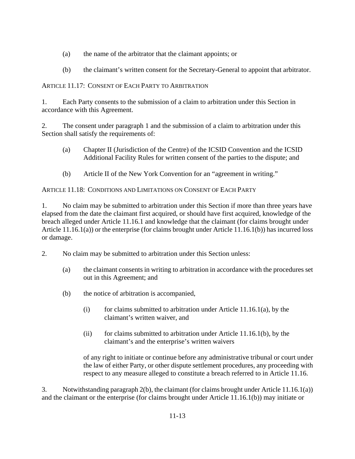- (a) the name of the arbitrator that the claimant appoints; or
- (b) the claimant's written consent for the Secretary-General to appoint that arbitrator.

### ARTICLE 11.17: CONSENT OF EACH PARTY TO ARBITRATION

1. Each Party consents to the submission of a claim to arbitration under this Section in accordance with this Agreement.

2. The consent under paragraph 1 and the submission of a claim to arbitration under this Section shall satisfy the requirements of:

- (a) Chapter II (Jurisdiction of the Centre) of the ICSID Convention and the ICSID Additional Facility Rules for written consent of the parties to the dispute; and
- (b) Article II of the New York Convention for an "agreement in writing."

ARTICLE 11.18: CONDITIONS AND LIMITATIONS ON CONSENT OF EACH PARTY

1. No claim may be submitted to arbitration under this Section if more than three years have elapsed from the date the claimant first acquired, or should have first acquired, knowledge of the breach alleged under Article 11.16.1 and knowledge that the claimant (for claims brought under Article 11.16.1(a)) or the enterprise (for claims brought under Article 11.16.1(b)) has incurred loss or damage.

- 2. No claim may be submitted to arbitration under this Section unless:
	- (a) the claimant consents in writing to arbitration in accordance with the procedures set out in this Agreement; and
	- (b) the notice of arbitration is accompanied,
		- (i) for claims submitted to arbitration under Article 11.16.1(a), by the claimant's written waiver, and
		- (ii) for claims submitted to arbitration under Article 11.16.1(b), by the claimant's and the enterprise's written waivers

of any right to initiate or continue before any administrative tribunal or court under the law of either Party, or other dispute settlement procedures, any proceeding with respect to any measure alleged to constitute a breach referred to in Article 11.16.

3. Notwithstanding paragraph 2(b), the claimant (for claims brought under Article 11.16.1(a)) and the claimant or the enterprise (for claims brought under Article 11.16.1(b)) may initiate or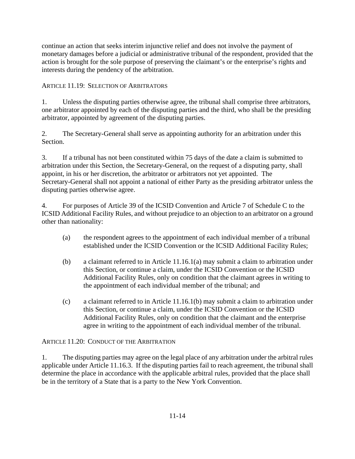continue an action that seeks interim injunctive relief and does not involve the payment of monetary damages before a judicial or administrative tribunal of the respondent, provided that the action is brought for the sole purpose of preserving the claimant's or the enterprise's rights and interests during the pendency of the arbitration.

ARTICLE 11.19: SELECTION OF ARBITRATORS

1. Unless the disputing parties otherwise agree, the tribunal shall comprise three arbitrators, one arbitrator appointed by each of the disputing parties and the third, who shall be the presiding arbitrator, appointed by agreement of the disputing parties.

2. The Secretary-General shall serve as appointing authority for an arbitration under this Section.

3. If a tribunal has not been constituted within 75 days of the date a claim is submitted to arbitration under this Section, the Secretary-General, on the request of a disputing party, shall appoint, in his or her discretion, the arbitrator or arbitrators not yet appointed. The Secretary-General shall not appoint a national of either Party as the presiding arbitrator unless the disputing parties otherwise agree.

4. For purposes of Article 39 of the ICSID Convention and Article 7 of Schedule C to the ICSID Additional Facility Rules, and without prejudice to an objection to an arbitrator on a ground other than nationality:

- (a) the respondent agrees to the appointment of each individual member of a tribunal established under the ICSID Convention or the ICSID Additional Facility Rules;
- (b) a claimant referred to in Article 11.16.1(a) may submit a claim to arbitration under this Section, or continue a claim, under the ICSID Convention or the ICSID Additional Facility Rules, only on condition that the claimant agrees in writing to the appointment of each individual member of the tribunal; and
- (c) a claimant referred to in Article 11.16.1(b) may submit a claim to arbitration under this Section, or continue a claim, under the ICSID Convention or the ICSID Additional Facility Rules, only on condition that the claimant and the enterprise agree in writing to the appointment of each individual member of the tribunal.

# ARTICLE 11.20: CONDUCT OF THE ARBITRATION

1. The disputing parties may agree on the legal place of any arbitration under the arbitral rules applicable under Article 11.16.3. If the disputing parties fail to reach agreement, the tribunal shall determine the place in accordance with the applicable arbitral rules, provided that the place shall be in the territory of a State that is a party to the New York Convention.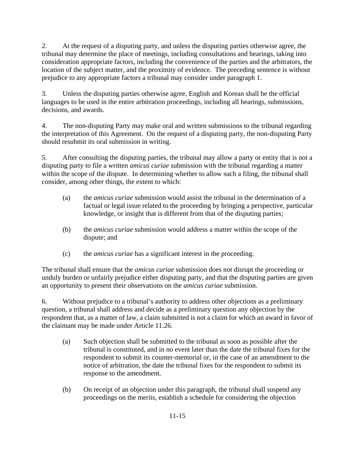2. At the request of a disputing party, and unless the disputing parties otherwise agree, the tribunal may determine the place of meetings, including consultations and hearings, taking into consideration appropriate factors, including the convenience of the parties and the arbitrators, the location of the subject matter, and the proximity of evidence. The preceding sentence is without prejudice to any appropriate factors a tribunal may consider under paragraph 1.

3. Unless the disputing parties otherwise agree, English and Korean shall be the official languages to be used in the entire arbitration proceedings, including all hearings, submissions, decisions, and awards.

4. The non-disputing Party may make oral and written submissions to the tribunal regarding the interpretation of this Agreement. On the request of a disputing party, the non-disputing Party should resubmit its oral submission in writing.

5. After consulting the disputing parties, the tribunal may allow a party or entity that is not a disputing party to file a written *amicus curiae* submission with the tribunal regarding a matter within the scope of the dispute. In determining whether to allow such a filing, the tribunal shall consider, among other things, the extent to which:

- (a) the *amicus curiae* submission would assist the tribunal in the determination of a factual or legal issue related to the proceeding by bringing a perspective, particular knowledge, or insight that is different from that of the disputing parties;
- (b) the *amicus curiae* submission would address a matter within the scope of the dispute; and
- (c) the *amicus curiae* has a significant interest in the proceeding.

The tribunal shall ensure that the *amicus curiae* submission does not disrupt the proceeding or unduly burden or unfairly prejudice either disputing party, and that the disputing parties are given an opportunity to present their observations on the *amicus curiae* submission.

6. Without prejudice to a tribunal's authority to address other objections as a preliminary question, a tribunal shall address and decide as a preliminary question any objection by the respondent that, as a matter of law, a claim submitted is not a claim for which an award in favor of the claimant may be made under Article 11.26.

- (a) Such objection shall be submitted to the tribunal as soon as possible after the tribunal is constituted, and in no event later than the date the tribunal fixes for the respondent to submit its counter-memorial or, in the case of an amendment to the notice of arbitration, the date the tribunal fixes for the respondent to submit its response to the amendment.
- (b) On receipt of an objection under this paragraph, the tribunal shall suspend any proceedings on the merits, establish a schedule for considering the objection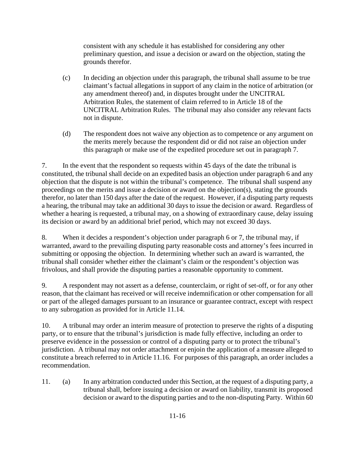consistent with any schedule it has established for considering any other preliminary question, and issue a decision or award on the objection, stating the grounds therefor.

- (c) In deciding an objection under this paragraph, the tribunal shall assume to be true claimant's factual allegations in support of any claim in the notice of arbitration (or any amendment thereof) and, in disputes brought under the UNCITRAL Arbitration Rules, the statement of claim referred to in Article 18 of the UNCITRAL Arbitration Rules. The tribunal may also consider any relevant facts not in dispute.
- (d) The respondent does not waive any objection as to competence or any argument on the merits merely because the respondent did or did not raise an objection under this paragraph or make use of the expedited procedure set out in paragraph 7.

7. In the event that the respondent so requests within 45 days of the date the tribunal is constituted, the tribunal shall decide on an expedited basis an objection under paragraph 6 and any objection that the dispute is not within the tribunal's competence. The tribunal shall suspend any proceedings on the merits and issue a decision or award on the objection(s), stating the grounds therefor, no later than 150 days after the date of the request. However, if a disputing party requests a hearing, the tribunal may take an additional 30 days to issue the decision or award. Regardless of whether a hearing is requested, a tribunal may, on a showing of extraordinary cause, delay issuing its decision or award by an additional brief period, which may not exceed 30 days.

8. When it decides a respondent's objection under paragraph 6 or 7, the tribunal may, if warranted, award to the prevailing disputing party reasonable costs and attorney's fees incurred in submitting or opposing the objection. In determining whether such an award is warranted, the tribunal shall consider whether either the claimant's claim or the respondent's objection was frivolous, and shall provide the disputing parties a reasonable opportunity to comment.

9. A respondent may not assert as a defense, counterclaim, or right of set-off, or for any other reason, that the claimant has received or will receive indemnification or other compensation for all or part of the alleged damages pursuant to an insurance or guarantee contract, except with respect to any subrogation as provided for in Article 11.14.

10. A tribunal may order an interim measure of protection to preserve the rights of a disputing party, or to ensure that the tribunal's jurisdiction is made fully effective, including an order to preserve evidence in the possession or control of a disputing party or to protect the tribunal's jurisdiction. A tribunal may not order attachment or enjoin the application of a measure alleged to constitute a breach referred to in Article 11.16. For purposes of this paragraph, an order includes a recommendation.

11. (a) In any arbitration conducted under this Section, at the request of a disputing party, a tribunal shall, before issuing a decision or award on liability, transmit its proposed decision or award to the disputing parties and to the non-disputing Party. Within 60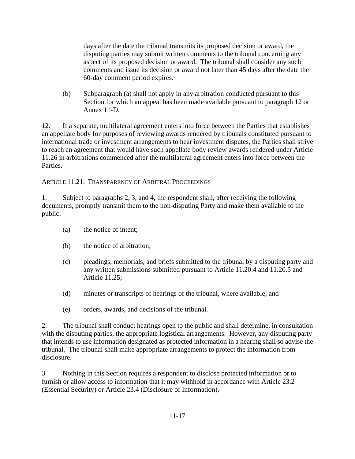days after the date the tribunal transmits its proposed decision or award, the disputing parties may submit written comments to the tribunal concerning any aspect of its proposed decision or award. The tribunal shall consider any such comments and issue its decision or award not later than 45 days after the date the 60-day comment period expires.

 (b) Subparagraph (a) shall not apply in any arbitration conducted pursuant to this Section for which an appeal has been made available pursuant to paragraph 12 or Annex 11-D.

12. If a separate, multilateral agreement enters into force between the Parties that establishes an appellate body for purposes of reviewing awards rendered by tribunals constituted pursuant to international trade or investment arrangements to hear investment disputes, the Parties shall strive to reach an agreement that would have such appellate body review awards rendered under Article 11.26 in arbitrations commenced after the multilateral agreement enters into force between the Parties.

ARTICLE 11.21: TRANSPARENCY OF ARBITRAL PROCEEDINGS

1. Subject to paragraphs 2, 3, and 4, the respondent shall, after receiving the following documents, promptly transmit them to the non-disputing Party and make them available to the public:

- (a) the notice of intent;
- (b) the notice of arbitration;
- (c) pleadings, memorials, and briefs submitted to the tribunal by a disputing party and any written submissions submitted pursuant to Article 11.20.4 and 11.20.5 and Article 11.25;
- (d) minutes or transcripts of hearings of the tribunal, where available; and
- (e) orders, awards, and decisions of the tribunal.

2. The tribunal shall conduct hearings open to the public and shall determine, in consultation with the disputing parties, the appropriate logistical arrangements. However, any disputing party that intends to use information designated as protected information in a hearing shall so advise the tribunal. The tribunal shall make appropriate arrangements to protect the information from disclosure.

3. Nothing in this Section requires a respondent to disclose protected information or to furnish or allow access to information that it may withhold in accordance with Article 23.2 (Essential Security) or Article 23.4 (Disclosure of Information).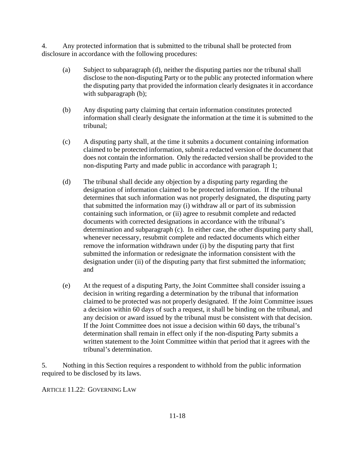4. Any protected information that is submitted to the tribunal shall be protected from disclosure in accordance with the following procedures:

- (a) Subject to subparagraph (d), neither the disputing parties nor the tribunal shall disclose to the non-disputing Party or to the public any protected information where the disputing party that provided the information clearly designates it in accordance with subparagraph (b);
- (b) Any disputing party claiming that certain information constitutes protected information shall clearly designate the information at the time it is submitted to the tribunal;
- (c) A disputing party shall, at the time it submits a document containing information claimed to be protected information, submit a redacted version of the document that does not contain the information. Only the redacted version shall be provided to the non-disputing Party and made public in accordance with paragraph 1;
- (d) The tribunal shall decide any objection by a disputing party regarding the designation of information claimed to be protected information. If the tribunal determines that such information was not properly designated, the disputing party that submitted the information may (i) withdraw all or part of its submission containing such information, or (ii) agree to resubmit complete and redacted documents with corrected designations in accordance with the tribunal's determination and subparagraph (c). In either case, the other disputing party shall, whenever necessary, resubmit complete and redacted documents which either remove the information withdrawn under (i) by the disputing party that first submitted the information or redesignate the information consistent with the designation under (ii) of the disputing party that first submitted the information; and
- (e) At the request of a disputing Party, the Joint Committee shall consider issuing a decision in writing regarding a determination by the tribunal that information claimed to be protected was not properly designated. If the Joint Committee issues a decision within 60 days of such a request, it shall be binding on the tribunal, and any decision or award issued by the tribunal must be consistent with that decision. If the Joint Committee does not issue a decision within 60 days, the tribunal's determination shall remain in effect only if the non-disputing Party submits a written statement to the Joint Committee within that period that it agrees with the tribunal's determination.

5. Nothing in this Section requires a respondent to withhold from the public information required to be disclosed by its laws.

ARTICLE 11.22: GOVERNING LAW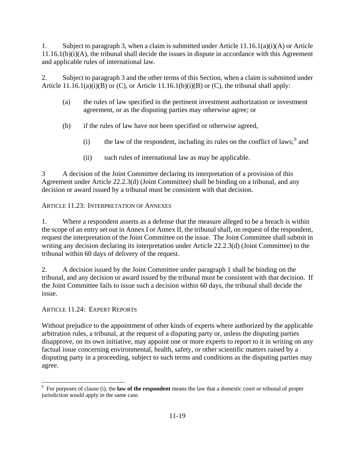1. Subject to paragraph 3, when a claim is submitted under Article  $11.16.1(a)(i)(A)$  or Article 11.16.1(b)(i)(A), the tribunal shall decide the issues in dispute in accordance with this Agreement and applicable rules of international law.

2. Subject to paragraph 3 and the other terms of this Section, when a claim is submitted under Article 11.16.1(a)(i)(B) or (C), or Article 11.16.1(b)(i)(B) or (C), the tribunal shall apply:

- (a) the rules of law specified in the pertinent investment authorization or investment agreement, or as the disputing parties may otherwise agree; or
- (b) if the rules of law have not been specified or otherwise agreed,
	- (i) the law of the respondent, including its rules on the conflict of laws;  $9^{\circ}$  $9^{\circ}$  and
	- (ii) such rules of international law as may be applicable.

3 A decision of the Joint Committee declaring its interpretation of a provision of this Agreement under Article 22.2.3(d) (Joint Committee) shall be binding on a tribunal, and any decision or award issued by a tribunal must be consistent with that decision.

# ARTICLE 11.23: INTERPRETATION OF ANNEXES

1. Where a respondent asserts as a defense that the measure alleged to be a breach is within the scope of an entry set out in Annex I or Annex II, the tribunal shall, on request of the respondent, request the interpretation of the Joint Committee on the issue. The Joint Committee shall submit in writing any decision declaring its interpretation under Article 22.2.3(d) (Joint Committee) to the tribunal within 60 days of delivery of the request.

2. A decision issued by the Joint Committee under paragraph 1 shall be binding on the tribunal, and any decision or award issued by the tribunal must be consistent with that decision. If the Joint Committee fails to issue such a decision within 60 days, the tribunal shall decide the issue.

# ARTICLE 11.24: EXPERT REPORTS

Without prejudice to the appointment of other kinds of experts where authorized by the applicable arbitration rules, a tribunal, at the request of a disputing party or, unless the disputing parties disapprove, on its own initiative, may appoint one or more experts to report to it in writing on any factual issue concerning environmental, health, safety, or other scientific matters raised by a disputing party in a proceeding, subject to such terms and conditions as the disputing parties may agree.

<span id="page-18-0"></span> $\overline{\phantom{a}}$ 9 For purposes of clause (i), the **law of the respondent** means the law that a domestic court or tribunal of proper jurisdiction would apply in the same case.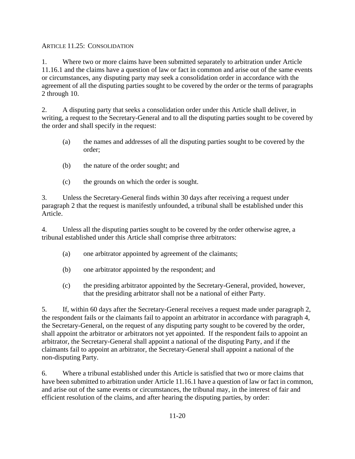### ARTICLE 11.25: CONSOLIDATION

1. Where two or more claims have been submitted separately to arbitration under Article 11.16.1 and the claims have a question of law or fact in common and arise out of the same events or circumstances, any disputing party may seek a consolidation order in accordance with the agreement of all the disputing parties sought to be covered by the order or the terms of paragraphs 2 through 10.

2. A disputing party that seeks a consolidation order under this Article shall deliver, in writing, a request to the Secretary-General and to all the disputing parties sought to be covered by the order and shall specify in the request:

- (a) the names and addresses of all the disputing parties sought to be covered by the order;
- (b) the nature of the order sought; and
- (c) the grounds on which the order is sought.

3. Unless the Secretary-General finds within 30 days after receiving a request under paragraph 2 that the request is manifestly unfounded, a tribunal shall be established under this Article.

4. Unless all the disputing parties sought to be covered by the order otherwise agree, a tribunal established under this Article shall comprise three arbitrators:

- (a) one arbitrator appointed by agreement of the claimants;
- (b) one arbitrator appointed by the respondent; and
- (c) the presiding arbitrator appointed by the Secretary-General, provided, however, that the presiding arbitrator shall not be a national of either Party.

5. If, within 60 days after the Secretary-General receives a request made under paragraph 2, the respondent fails or the claimants fail to appoint an arbitrator in accordance with paragraph 4, the Secretary-General, on the request of any disputing party sought to be covered by the order, shall appoint the arbitrator or arbitrators not yet appointed. If the respondent fails to appoint an arbitrator, the Secretary-General shall appoint a national of the disputing Party, and if the claimants fail to appoint an arbitrator, the Secretary-General shall appoint a national of the non-disputing Party.

6. Where a tribunal established under this Article is satisfied that two or more claims that have been submitted to arbitration under Article 11.16.1 have a question of law or fact in common, and arise out of the same events or circumstances, the tribunal may, in the interest of fair and efficient resolution of the claims, and after hearing the disputing parties, by order: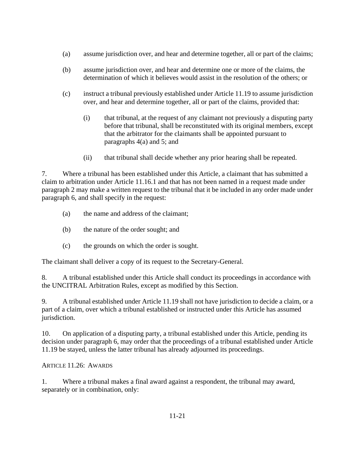- (a) assume jurisdiction over, and hear and determine together, all or part of the claims;
- (b) assume jurisdiction over, and hear and determine one or more of the claims, the determination of which it believes would assist in the resolution of the others; or
- (c) instruct a tribunal previously established under Article 11.19 to assume jurisdiction over, and hear and determine together, all or part of the claims, provided that:
	- (i) that tribunal, at the request of any claimant not previously a disputing party before that tribunal, shall be reconstituted with its original members, except that the arbitrator for the claimants shall be appointed pursuant to paragraphs 4(a) and 5; and
	- (ii) that tribunal shall decide whether any prior hearing shall be repeated.

7. Where a tribunal has been established under this Article, a claimant that has submitted a claim to arbitration under Article 11.16.1 and that has not been named in a request made under paragraph 2 may make a written request to the tribunal that it be included in any order made under paragraph 6, and shall specify in the request:

- (a) the name and address of the claimant;
- (b) the nature of the order sought; and
- (c) the grounds on which the order is sought.

The claimant shall deliver a copy of its request to the Secretary-General.

8. A tribunal established under this Article shall conduct its proceedings in accordance with the UNCITRAL Arbitration Rules, except as modified by this Section.

9. A tribunal established under Article 11.19 shall not have jurisdiction to decide a claim, or a part of a claim, over which a tribunal established or instructed under this Article has assumed jurisdiction.

10. On application of a disputing party, a tribunal established under this Article, pending its decision under paragraph 6, may order that the proceedings of a tribunal established under Article 11.19 be stayed, unless the latter tribunal has already adjourned its proceedings.

ARTICLE 11.26: AWARDS

1. Where a tribunal makes a final award against a respondent, the tribunal may award, separately or in combination, only: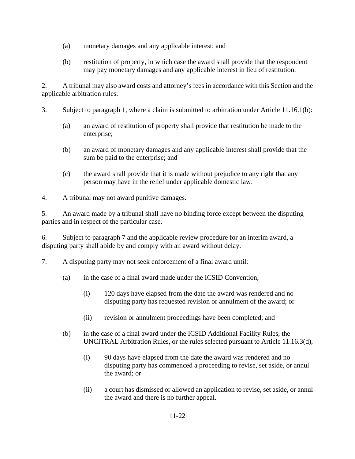- (a) monetary damages and any applicable interest; and
- (b) restitution of property, in which case the award shall provide that the respondent may pay monetary damages and any applicable interest in lieu of restitution.

2. A tribunal may also award costs and attorney's fees in accordance with this Section and the applicable arbitration rules.

- 3. Subject to paragraph 1, where a claim is submitted to arbitration under Article 11.16.1(b):
	- (a) an award of restitution of property shall provide that restitution be made to the enterprise;
	- (b) an award of monetary damages and any applicable interest shall provide that the sum be paid to the enterprise; and
	- (c) the award shall provide that it is made without prejudice to any right that any person may have in the relief under applicable domestic law.
- 4. A tribunal may not award punitive damages.

5. An award made by a tribunal shall have no binding force except between the disputing parties and in respect of the particular case.

6. Subject to paragraph 7 and the applicable review procedure for an interim award, a disputing party shall abide by and comply with an award without delay.

- 7. A disputing party may not seek enforcement of a final award until:
	- (a) in the case of a final award made under the ICSID Convention,
		- (i) 120 days have elapsed from the date the award was rendered and no disputing party has requested revision or annulment of the award; or
		- (ii) revision or annulment proceedings have been completed; and
	- (b) in the case of a final award under the ICSID Additional Facility Rules, the UNCITRAL Arbitration Rules, or the rules selected pursuant to Article 11.16.3(d),
		- (i) 90 days have elapsed from the date the award was rendered and no disputing party has commenced a proceeding to revise, set aside, or annul the award; or
		- (ii) a court has dismissed or allowed an application to revise, set aside, or annul the award and there is no further appeal.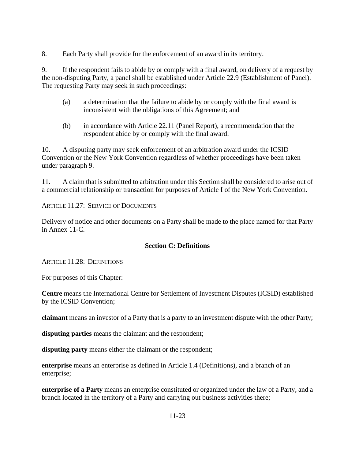8. Each Party shall provide for the enforcement of an award in its territory.

9. If the respondent fails to abide by or comply with a final award, on delivery of a request by the non-disputing Party, a panel shall be established under Article 22.9 (Establishment of Panel). The requesting Party may seek in such proceedings:

- (a) a determination that the failure to abide by or comply with the final award is inconsistent with the obligations of this Agreement; and
- (b) in accordance with Article 22.11 (Panel Report), a recommendation that the respondent abide by or comply with the final award.

10. A disputing party may seek enforcement of an arbitration award under the ICSID Convention or the New York Convention regardless of whether proceedings have been taken under paragraph 9.

11. A claim that is submitted to arbitration under this Section shall be considered to arise out of a commercial relationship or transaction for purposes of Article I of the New York Convention.

ARTICLE 11.27: SERVICE OF DOCUMENTS

Delivery of notice and other documents on a Party shall be made to the place named for that Party in Annex 11-C.

# **Section C: Definitions**

ARTICLE 11.28: DEFINITIONS

For purposes of this Chapter:

**Centre** means the International Centre for Settlement of Investment Disputes (ICSID) established by the ICSID Convention;

**claimant** means an investor of a Party that is a party to an investment dispute with the other Party;

**disputing parties** means the claimant and the respondent;

**disputing party** means either the claimant or the respondent;

**enterprise** means an enterprise as defined in Article 1.4 (Definitions), and a branch of an enterprise;

**enterprise of a Party** means an enterprise constituted or organized under the law of a Party, and a branch located in the territory of a Party and carrying out business activities there;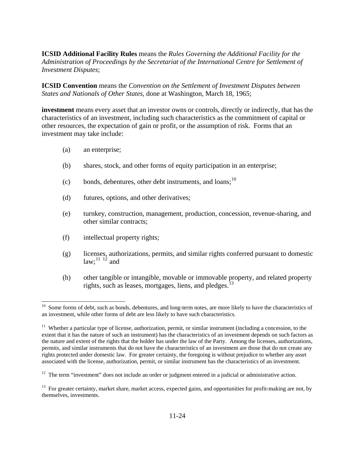**ICSID Additional Facility Rules** means the *Rules Governing the Additional Facility for the Administration of Proceedings by the Secretariat of the International Centre for Settlement of Investment Disputes*;

**ICSID Convention** means the *Convention on the Settlement of Investment Disputes between States and Nationals of Other States*, done at Washington, March 18, 1965;

**investment** means every asset that an investor owns or controls, directly or indirectly, that has the characteristics of an investment, including such characteristics as the commitment of capital or other resources, the expectation of gain or profit, or the assumption of risk. Forms that an investment may take include:

(a) an enterprise;

 $\overline{\phantom{a}}$ 

- (b) shares, stock, and other forms of equity participation in an enterprise;
- (c) bonds, debentures, other debt instruments, and loans;  $^{10}$  $^{10}$  $^{10}$
- (d) futures, options, and other derivatives;
- (e) turnkey, construction, management, production, concession, revenue-sharing, and other similar contracts;
- (f) intellectual property rights;
- (g) licenses, authorizations, permits, and similar rights conferred pursuant to domestic law;  $11 \tcdot 12$  $11 \tcdot 12$  $11 \tcdot 12$  and
	- (h) other tangible or intangible, movable or immovable property, and related property rights, such as leases, mortgages, liens, and pledges.<sup>[13](#page-23-3)</sup>

<span id="page-23-0"></span><sup>&</sup>lt;sup>10</sup> Some forms of debt, such as bonds, debentures, and long-term notes, are more likely to have the characteristics of an investment, while other forms of debt are less likely to have such characteristics.

<span id="page-23-1"></span> $11$  Whether a particular type of license, authorization, permit, or similar instrument (including a concession, to the extent that it has the nature of such an instrument) has the characteristics of an investment depends on such factors as the nature and extent of the rights that the holder has under the law of the Party. Among the licenses, authorizations, permits, and similar instruments that do not have the characteristics of an investment are those that do not create any rights protected under domestic law. For greater certainty, the foregoing is without prejudice to whether any asset associated with the license, authorization, permit, or similar instrument has the characteristics of an investment.

<span id="page-23-2"></span> $12$  The term "investment" does not include an order or judgment entered in a judicial or administrative action.

<span id="page-23-3"></span> $<sup>13</sup>$  For greater certainty, market share, market access, expected gains, and opportunities for profit-making are not, by</sup> themselves, investments.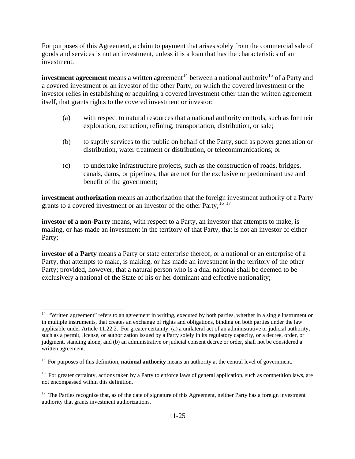For purposes of this Agreement, a claim to payment that arises solely from the commercial sale of goods and services is not an investment, unless it is a loan that has the characteristics of an investment.

**investment agreement** means a written agreement<sup>[14](#page-24-0)</sup> between a national authority<sup>[15](#page-24-1)</sup> of a Party and a covered investment or an investor of the other Party, on which the covered investment or the investor relies in establishing or acquiring a covered investment other than the written agreement itself, that grants rights to the covered investment or investor:

- (a) with respect to natural resources that a national authority controls, such as for their exploration, extraction, refining, transportation, distribution, or sale;
- (b) to supply services to the public on behalf of the Party, such as power generation or distribution, water treatment or distribution, or telecommunications; or
- (c) to undertake infrastructure projects, such as the construction of roads, bridges, canals, dams, or pipelines, that are not for the exclusive or predominant use and benefit of the government;

**investment authorization** means an authorization that the foreign investment authority of a Party grants to a covered investment or an investor of the other Party:<sup>[16](#page-24-2)</sup> <sup>[17](#page-24-3)</sup>

**investor of a non-Party** means, with respect to a Party, an investor that attempts to make, is making, or has made an investment in the territory of that Party, that is not an investor of either Party;

**investor of a Party** means a Party or state enterprise thereof, or a national or an enterprise of a Party, that attempts to make, is making, or has made an investment in the territory of the other Party; provided, however, that a natural person who is a dual national shall be deemed to be exclusively a national of the State of his or her dominant and effective nationality;

<span id="page-24-0"></span> $\overline{\phantom{a}}$ <sup>14</sup> "Written agreement" refers to an agreement in writing, executed by both parties, whether in a single instrument or in multiple instruments, that creates an exchange of rights and obligations, binding on both parties under the law applicable under Article 11.22.2. For greater certainty, (a) a unilateral act of an administrative or judicial authority, such as a permit, license, or authorization issued by a Party solely in its regulatory capacity, or a decree, order, or judgment, standing alone; and (b) an administrative or judicial consent decree or order, shall not be considered a written agreement.

<span id="page-24-1"></span><sup>&</sup>lt;sup>15</sup> For purposes of this definition, **national authority** means an authority at the central level of government.

<span id="page-24-2"></span><sup>&</sup>lt;sup>16</sup> For greater certainty, actions taken by a Party to enforce laws of general application, such as competition laws, are not encompassed within this definition.

<span id="page-24-3"></span> $17$  The Parties recognize that, as of the date of signature of this Agreement, neither Party has a foreign investment authority that grants investment authorizations.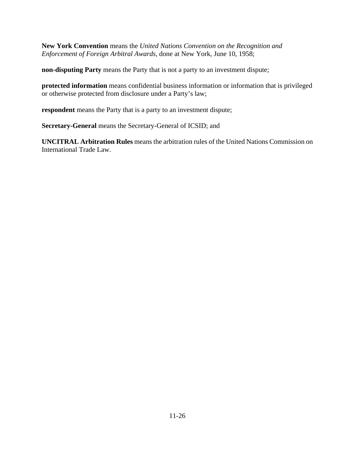**New York Convention** means the *United Nations Convention on the Recognition and Enforcement of Foreign Arbitral Awards*, done at New York, June 10, 1958;

**non-disputing Party** means the Party that is not a party to an investment dispute;

**protected information** means confidential business information or information that is privileged or otherwise protected from disclosure under a Party's law;

**respondent** means the Party that is a party to an investment dispute;

**Secretary-General** means the Secretary-General of ICSID; and

**UNCITRAL Arbitration Rules** means the arbitration rules of the United Nations Commission on International Trade Law.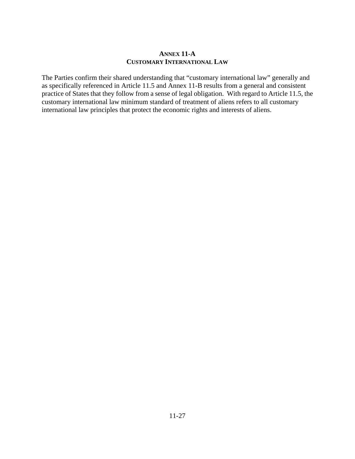#### **ANNEX 11-A CUSTOMARY INTERNATIONAL LAW**

The Parties confirm their shared understanding that "customary international law" generally and as specifically referenced in Article 11.5 and Annex 11-B results from a general and consistent practice of States that they follow from a sense of legal obligation. With regard to Article 11.5, the customary international law minimum standard of treatment of aliens refers to all customary international law principles that protect the economic rights and interests of aliens.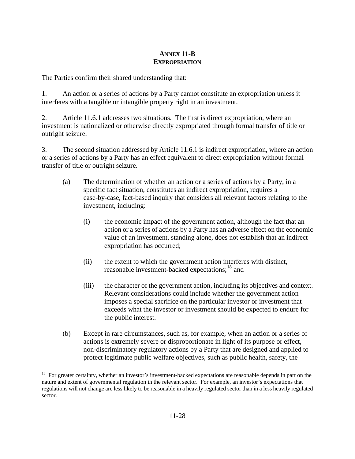### **ANNEX 11-B EXPROPRIATION**

The Parties confirm their shared understanding that:

1. An action or a series of actions by a Party cannot constitute an expropriation unless it interferes with a tangible or intangible property right in an investment.

2. Article 11.6.1 addresses two situations. The first is direct expropriation, where an investment is nationalized or otherwise directly expropriated through formal transfer of title or outright seizure.

3. The second situation addressed by Article 11.6.1 is indirect expropriation, where an action or a series of actions by a Party has an effect equivalent to direct expropriation without formal transfer of title or outright seizure.

- (a) The determination of whether an action or a series of actions by a Party, in a specific fact situation, constitutes an indirect expropriation, requires a case-by-case, fact-based inquiry that considers all relevant factors relating to the investment, including:
	- (i) the economic impact of the government action, although the fact that an action or a series of actions by a Party has an adverse effect on the economic value of an investment, standing alone, does not establish that an indirect expropriation has occurred;
	- (ii) the extent to which the government action interferes with distinct, reasonable investment-backed expectations;<sup>[18](#page-27-0)</sup> and
	- (iii) the character of the government action, including its objectives and context. Relevant considerations could include whether the government action imposes a special sacrifice on the particular investor or investment that exceeds what the investor or investment should be expected to endure for the public interest.
- (b) Except in rare circumstances, such as, for example, when an action or a series of actions is extremely severe or disproportionate in light of its purpose or effect, non-discriminatory regulatory actions by a Party that are designed and applied to protect legitimate public welfare objectives, such as public health, safety, the

<span id="page-27-0"></span> $\overline{\phantom{a}}$  $18$  For greater certainty, whether an investor's investment-backed expectations are reasonable depends in part on the nature and extent of governmental regulation in the relevant sector. For example, an investor's expectations that regulations will not change are less likely to be reasonable in a heavily regulated sector than in a less heavily regulated sector.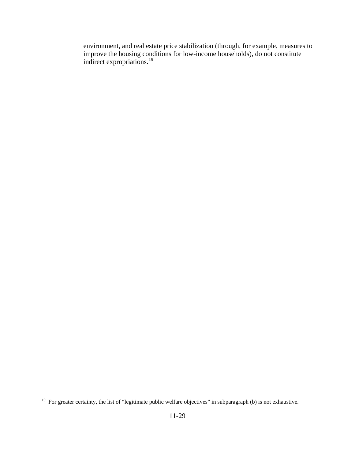environment, and real estate price stabilization (through, for example, measures to improve the housing conditions for low-income households), do not constitute indirect expropriations.<sup>[19](#page-28-0)</sup>

 $\overline{\phantom{a}}$ 

<span id="page-28-0"></span><sup>&</sup>lt;sup>19</sup> For greater certainty, the list of "legitimate public welfare objectives" in subparagraph (b) is not exhaustive.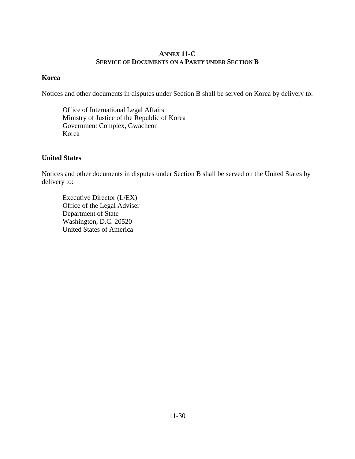### **ANNEX 11-C SERVICE OF DOCUMENTS ON A PARTY UNDER SECTION B**

### **Korea**

Notices and other documents in disputes under Section B shall be served on Korea by delivery to:

 Office of International Legal Affairs Ministry of Justice of the Republic of Korea Government Complex, Gwacheon Korea

#### **United States**

Notices and other documents in disputes under Section B shall be served on the United States by delivery to:

 Executive Director (L/EX) Office of the Legal Adviser Department of State Washington, D.C. 20520 United States of America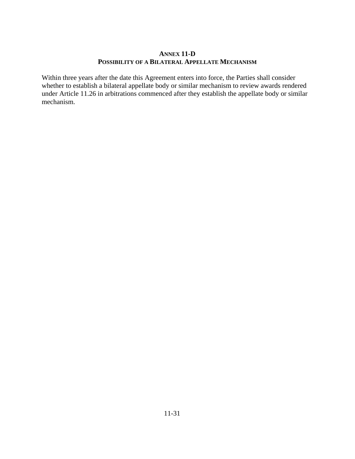### **ANNEX 11-D POSSIBILITY OF A BILATERAL APPELLATE MECHANISM**

Within three years after the date this Agreement enters into force, the Parties shall consider whether to establish a bilateral appellate body or similar mechanism to review awards rendered under Article 11.26 in arbitrations commenced after they establish the appellate body or similar mechanism.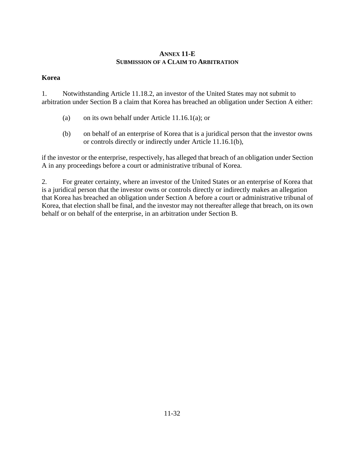### **ANNEX 11-E SUBMISSION OF A CLAIM TO ARBITRATION**

### **Korea**

1. Notwithstanding Article 11.18.2, an investor of the United States may not submit to arbitration under Section B a claim that Korea has breached an obligation under Section A either:

- (a) on its own behalf under Article 11.16.1(a); or
- (b) on behalf of an enterprise of Korea that is a juridical person that the investor owns or controls directly or indirectly under Article 11.16.1(b),

if the investor or the enterprise, respectively, has alleged that breach of an obligation under Section A in any proceedings before a court or administrative tribunal of Korea.

2. For greater certainty, where an investor of the United States or an enterprise of Korea that is a juridical person that the investor owns or controls directly or indirectly makes an allegation that Korea has breached an obligation under Section A before a court or administrative tribunal of Korea, that election shall be final, and the investor may not thereafter allege that breach, on its own behalf or on behalf of the enterprise, in an arbitration under Section B.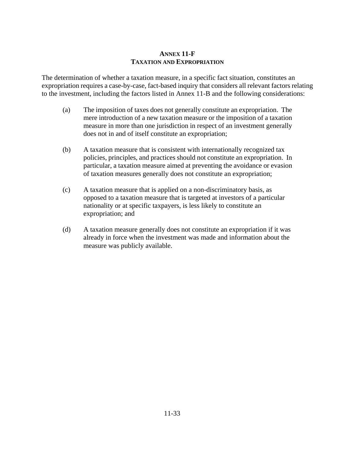### **ANNEX 11-F TAXATION AND EXPROPRIATION**

The determination of whether a taxation measure, in a specific fact situation, constitutes an expropriation requires a case-by-case, fact-based inquiry that considers all relevant factors relating to the investment, including the factors listed in Annex 11-B and the following considerations:

- (a) The imposition of taxes does not generally constitute an expropriation. The mere introduction of a new taxation measure or the imposition of a taxation measure in more than one jurisdiction in respect of an investment generally does not in and of itself constitute an expropriation;
- (b) A taxation measure that is consistent with internationally recognized tax policies, principles, and practices should not constitute an expropriation. In particular, a taxation measure aimed at preventing the avoidance or evasion of taxation measures generally does not constitute an expropriation;
- (c) A taxation measure that is applied on a non-discriminatory basis, as opposed to a taxation measure that is targeted at investors of a particular nationality or at specific taxpayers, is less likely to constitute an expropriation; and
- (d) A taxation measure generally does not constitute an expropriation if it was already in force when the investment was made and information about the measure was publicly available.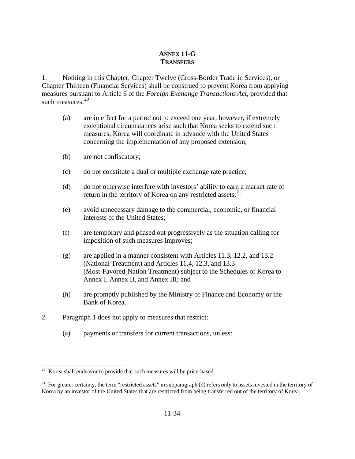### **ANNEX 11-G TRANSFERS**

1. Nothing in this Chapter, Chapter Twelve (Cross-Border Trade in Services), or Chapter Thirteen (Financial Services) shall be construed to prevent Korea from applying measures pursuant to Article 6 of the *Foreign Exchange Transactions Act*, provided that such measures: $20$ 

- (a) are in effect for a period not to exceed one year; however, if extremely exceptional circumstances arise such that Korea seeks to extend such measures, Korea will coordinate in advance with the United States concerning the implementation of any proposed extension;
- (b) are not confiscatory;
- (c) do not constitute a dual or multiple exchange rate practice;
- (d) do not otherwise interfere with investors' ability to earn a market rate of return in the territory of Korea on any restricted assets; $^{21}$  $^{21}$  $^{21}$
- (e) avoid unnecessary damage to the commercial, economic, or financial interests of the United States;
- (f) are temporary and phased out progressively as the situation calling for imposition of such measures improves;
- (g) are applied in a manner consistent with Articles 11.3, 12.2, and 13.2 (National Treatment) and Articles 11.4, 12.3, and 13.3 (Most-Favored-Nation Treatment) subject to the Schedules of Korea to Annex I, Annex II, and Annex III; and
- (h) are promptly published by the Ministry of Finance and Economy or the Bank of Korea.
- 2. Paragraph 1 does not apply to measures that restrict:
	- (a) payments or transfers for current transactions, unless:

 $\overline{\phantom{a}}$ 

<span id="page-33-0"></span> $20$  Korea shall endeavor to provide that such measures will be price-based.

<span id="page-33-1"></span><sup>&</sup>lt;sup>21</sup> For greater certainty, the term "restricted assets" in subparagraph (d) refers only to assets invested in the territory of Korea by an investor of the United States that are restricted from being transferred out of the territory of Korea.